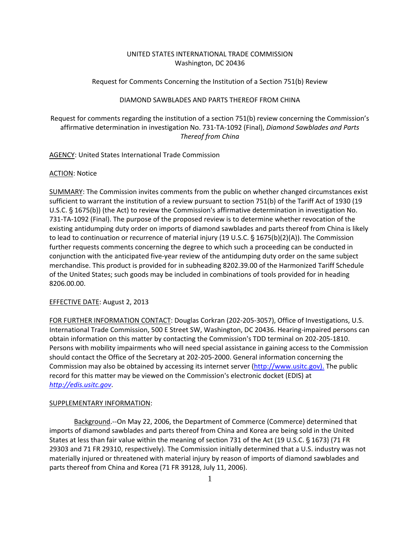# UNITED STATES INTERNATIONAL TRADE COMMISSION Washington, DC 20436

Request for Comments Concerning the Institution of a Section 751(b) Review

## DIAMOND SAWBLADES AND PARTS THEREOF FROM CHINA

Request for comments regarding the institution of a section 751(b) review concerning the Commission's affirmative determination in investigation No. 731‐TA‐1092 (Final), *Diamond Sawblades and Parts Thereof from China*

AGENCY: United States International Trade Commission

### ACTION: Notice

SUMMARY: The Commission invites comments from the public on whether changed circumstances exist sufficient to warrant the institution of a review pursuant to section 751(b) of the Tariff Act of 1930 (19 U.S.C.  $\S$  1675(b)) (the Act) to review the Commission's affirmative determination in investigation No. 731‐TA‐1092 (Final). The purpose of the proposed review is to determine whether revocation of the existing antidumping duty order on imports of diamond sawblades and parts thereof from China is likely to lead to continuation or recurrence of material injury (19 U.S.C.  $\frac{5}{3}$  1675(b)(2)(A)). The Commission further requests comments concerning the degree to which such a proceeding can be conducted in conjunction with the anticipated five‐year review of the antidumping duty order on the same subject merchandise. This product is provided for in subheading 8202.39.00 of the Harmonized Tariff Schedule of the United States; such goods may be included in combinations of tools provided for in heading 8206.00.00.

## EFFECTIVE DATE: August 2, 2013

FOR FURTHER INFORMATION CONTACT: Douglas Corkran (202‐205‐3057), Office of Investigations, U.S. International Trade Commission, 500 E Street SW, Washington, DC 20436. Hearing‐impaired persons can obtain information on this matter by contacting the Commission's TDD terminal on 202-205-1810. Persons with mobility impairments who will need special assistance in gaining access to the Commission should contact the Office of the Secretary at 202‐205‐2000. General information concerning the Commission may also be obtained by accessing its internet server (http://www.usitc.gov). The public record for this matter may be viewed on the Commission's electronic docket (EDIS) at *http://edis.usitc.gov*.

#### SUPPLEMENTARY INFORMATION:

Background.--On May 22, 2006, the Department of Commerce (Commerce) determined that imports of diamond sawblades and parts thereof from China and Korea are being sold in the United States at less than fair value within the meaning of section 731 of the Act (19 U.S.C. § 1673) (71 FR 29303 and 71 FR 29310, respectively). The Commission initially determined that a U.S. industry was not materially injured or threatened with material injury by reason of imports of diamond sawblades and parts thereof from China and Korea (71 FR 39128, July 11, 2006).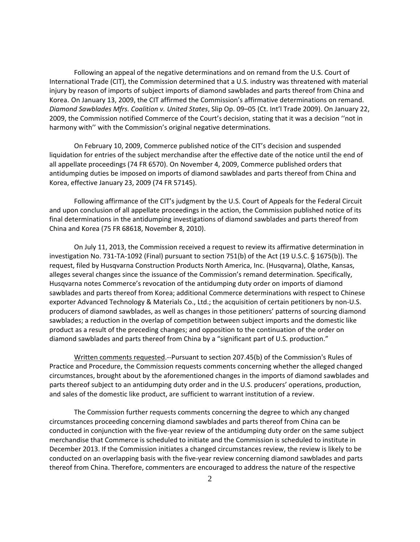Following an appeal of the negative determinations and on remand from the U.S. Court of International Trade (CIT), the Commission determined that a U.S. industry was threatened with material injury by reason of imports of subject imports of diamond sawblades and parts thereof from China and Korea. On January 13, 2009, the CIT affirmed the Commission's affirmative determinations on remand. *Diamond Sawblades Mfrs. Coalition v. United States*, Slip Op. 09–05 (Ct. Int'l Trade 2009). On January 22, 2009, the Commission notified Commerce of the Court's decision, stating that it was a decision ''not in harmony with'' with the Commission's original negative determinations.

On February 10, 2009, Commerce published notice of the CIT's decision and suspended liquidation for entries of the subject merchandise after the effective date of the notice until the end of all appellate proceedings (74 FR 6570). On November 4, 2009, Commerce published orders that antidumping duties be imposed on imports of diamond sawblades and parts thereof from China and Korea, effective January 23, 2009 (74 FR 57145).

Following affirmance of the CIT's judgment by the U.S. Court of Appeals for the Federal Circuit and upon conclusion of all appellate proceedings in the action, the Commission published notice of its final determinations in the antidumping investigations of diamond sawblades and parts thereof from China and Korea (75 FR 68618, November 8, 2010).

On July 11, 2013, the Commission received a request to review its affirmative determination in investigation No. 731-TA-1092 (Final) pursuant to section 751(b) of the Act (19 U.S.C. § 1675(b)). The request, filed by Husqvarna Construction Products North America, Inc. (Husqvarna), Olathe, Kansas, alleges several changes since the issuance of the Commission's remand determination. Specifically, Husqvarna notes Commerce's revocation of the antidumping duty order on imports of diamond sawblades and parts thereof from Korea; additional Commerce determinations with respect to Chinese exporter Advanced Technology & Materials Co., Ltd.; the acquisition of certain petitioners by non‐U.S. producers of diamond sawblades, as well as changes in those petitioners' patterns of sourcing diamond sawblades; a reduction in the overlap of competition between subject imports and the domestic like product as a result of the preceding changes; and opposition to the continuation of the order on diamond sawblades and parts thereof from China by a "significant part of U.S. production."

Written comments requested.--Pursuant to section 207.45(b) of the Commission's Rules of Practice and Procedure, the Commission requests comments concerning whether the alleged changed circumstances, brought about by the aforementioned changes in the imports of diamond sawblades and parts thereof subject to an antidumping duty order and in the U.S. producers' operations, production, and sales of the domestic like product, are sufficient to warrant institution of a review.

The Commission further requests comments concerning the degree to which any changed circumstances proceeding concerning diamond sawblades and parts thereof from China can be conducted in conjunction with the five‐year review of the antidumping duty order on the same subject merchandise that Commerce is scheduled to initiate and the Commission is scheduled to institute in December 2013. If the Commission initiates a changed circumstances review, the review is likely to be conducted on an overlapping basis with the five‐year review concerning diamond sawblades and parts thereof from China. Therefore, commenters are encouraged to address the nature of the respective